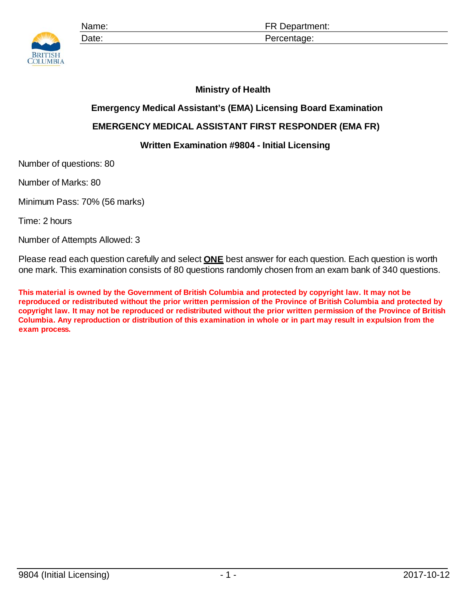

Name: **Name: ER Department:** Date: Percentage:

## **Ministry of Health**

## **Emergency Medical Assistant's (EMA) Licensing Board Examination**

## **EMERGENCY MEDICAL ASSISTANT FIRST RESPONDER (EMA FR)**

## **Written Examination #9804 - Initial Licensing**

Number of questions: 80

Number of Marks: 80

Minimum Pass: 70% (56 marks)

Time: 2 hours

Number of Attempts Allowed: 3

Please read each question carefully and select **ONE** best answer for each question. Each question is worth one mark. This examination consists of 80 questions randomly chosen from an exam bank of 340 questions.

**This material is owned by the Government of British Columbia and protected by copyright law. It may not be reproduced or redistributed without the prior written permission of the Province of British Columbia and protected by copyright law. It may not be reproduced or redistributed without the prior written permission of the Province of British Columbia. Any reproduction or distribution of this examination in whole or in part may result in expulsion from the exam process.**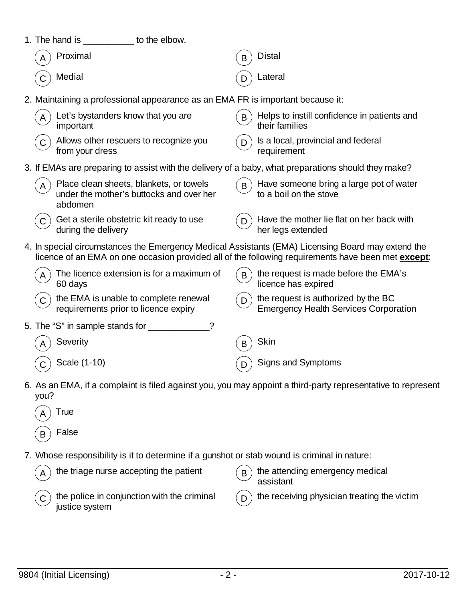| 1. The hand is ____________ to the elbow.                                                           |                                                                                                              |
|-----------------------------------------------------------------------------------------------------|--------------------------------------------------------------------------------------------------------------|
| Proximal                                                                                            | <b>Distal</b><br>B                                                                                           |
| Medial                                                                                              | Lateral                                                                                                      |
| 2. Maintaining a professional appearance as an EMA FR is important because it:                      |                                                                                                              |
| Let's bystanders know that you are<br>important                                                     | Helps to instill confidence in patients and<br>B<br>their families                                           |
| Allows other rescuers to recognize you<br>$\mathsf{C}$<br>from your dress                           | Is a local, provincial and federal<br>D<br>requirement                                                       |
| 3. If EMAs are preparing to assist with the delivery of a baby, what preparations should they make? |                                                                                                              |
| Place clean sheets, blankets, or towels<br>A<br>under the mother's buttocks and over her<br>abdomen | Have someone bring a large pot of water<br>B<br>to a boil on the stove                                       |
| Get a sterile obstetric kit ready to use<br>C<br>during the delivery                                | Have the mother lie flat on her back with<br>her legs extended                                               |
| 4. In special circumstances the Emergency Medical Assistants (EMA) Licensing Board may extend the   | licence of an EMA on one occasion provided all of the following requirements have been met <b>except</b> :   |
| The licence extension is for a maximum of<br>60 days                                                | the request is made before the EMA's<br>B<br>licence has expired                                             |
| the EMA is unable to complete renewal<br>requirements prior to licence expiry                       | the request is authorized by the BC<br>D.<br><b>Emergency Health Services Corporation</b>                    |
| $\gamma$                                                                                            |                                                                                                              |
| Severity                                                                                            | <b>Skin</b><br>B                                                                                             |
| Scale (1-10)                                                                                        | Signs and Symptoms<br>D                                                                                      |
| you?                                                                                                | 6. As an EMA, if a complaint is filed against you, you may appoint a third-party representative to represent |
| True                                                                                                |                                                                                                              |
| False<br>В                                                                                          |                                                                                                              |
| 7. Whose responsibility is it to determine if a gunshot or stab wound is criminal in nature:        |                                                                                                              |
| the triage nurse accepting the patient                                                              | the attending emergency medical<br>B<br>assistant                                                            |
| the police in conjunction with the criminal<br>justice system                                       | the receiving physician treating the victim                                                                  |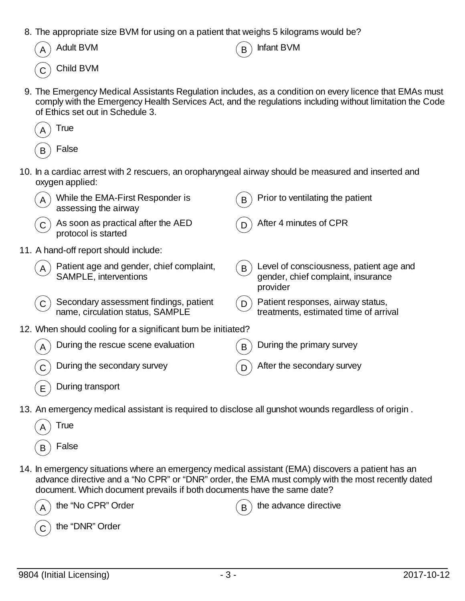8. The appropriate size BVM for using on a patient that weighs 5 kilograms would be?

| $(A)$ Adult BVM              |
|------------------------------|
| $\widehat{\Omega}$ Child BVM |

9. The Emergency Medical Assistants Regulation includes, as a condition on every licence that EMAs must

 $\overline{R}$  Infant BVM

comply with the Emergency Health Services Act, and the regulations including without limitation the Code of Ethics set out in Schedule 3.



10. In a cardiac arrest with 2 rescuers, an oropharyngeal airway should be measured and inserted and oxygen applied:

| A | While the EMA-First Responder is<br>assessing the airway                   | B | Prior to ventilating the patient                                                          |
|---|----------------------------------------------------------------------------|---|-------------------------------------------------------------------------------------------|
| C | As soon as practical after the AED<br>protocol is started                  | D | After 4 minutes of CPR                                                                    |
|   | 11. A hand-off report should include:                                      |   |                                                                                           |
| A | Patient age and gender, chief complaint,<br>SAMPLE, interventions          | B | Level of consciousness, patient age and<br>gender, chief complaint, insurance<br>provider |
|   | Secondary assessment findings, patient<br>name, circulation status, SAMPLE |   | Patient responses, airway status,<br>treatments, estimated time of arrival                |
|   | 12. When should cooling for a significant burn be initiated?               |   |                                                                                           |
|   | During the rescue scene evaluation                                         | B | During the primary survey                                                                 |
|   | During the secondary survey                                                |   | After the secondary survey                                                                |
| Е | During transport                                                           |   |                                                                                           |

- 13. An emergency medical assistant is required to disclose all gunshot wounds regardless of origin .
	- **True** False
- 14. In emergency situations where an emergency medical assistant (EMA) discovers a patient has an advance directive and a "No CPR" or "DNR" order, the EMA must comply with the most recently dated document. Which document prevails if both documents have the same date?

| $\binom{1}{A}$ the "No CPR" Order | $\binom{1}{B}$ the advance directive |
|-----------------------------------|--------------------------------------|
| $\binom{1}{C}$ the "DNR" Order    |                                      |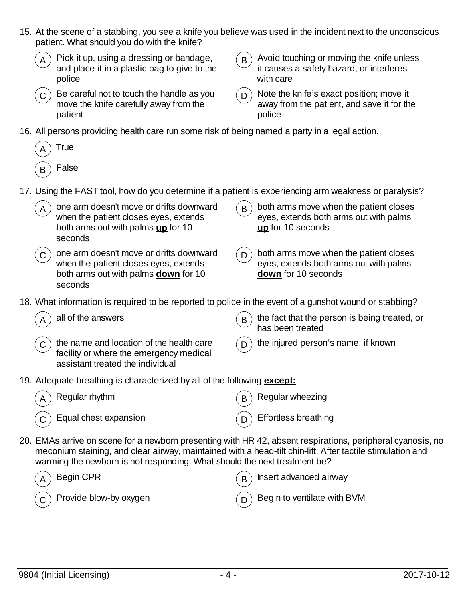- 15. At the scene of a stabbing, you see a knife you believe was used in the incident next to the unconscious patient. What should you do with the knife?
	- Pick it up, using a dressing or bandage, and place it in a plastic bag to give to the police
	- $\mathcal{L}_{\mathbf{C}}$  Be careful not to touch the handle as you move the knife carefully away from the patient

- $\mathbf{B}$  Avoid touching or moving the knife unless it causes a safety hazard, or interferes with care
- $(D)$  Note the knife's exact position; move it away from the patient, and save it for the police
- 16. All persons providing health care run some risk of being named a party in a legal action.

| True  |
|-------|
| False |

- 17. Using the FAST tool, how do you determine if a patient is experiencing arm weakness or paralysis?
	- one arm doesn't move or drifts downward when the patient closes eyes, extends both arms out with palms **up** for 10 seconds
	- $(C)$  one arm doesn't move or drifts downward when the patient closes eyes, extends both arms out with palms **down** for 10 seconds
- $B$ ) both arms move when the patient closes eyes, extends both arms out with palms **up** for 10 seconds
- $(D)$  both arms move when the patient closes eyes, extends both arms out with palms **down** for 10 seconds
- 18. What information is required to be reported to police in the event of a gunshot wound or stabbing?

- $C$ ) the name and location of the health care facility or where the emergency medical assistant treated the individual
- all of the answers  $(B)$  the fact that the person is being treated, or has been treated
	- $\Box$ ) the injured person's name, if known
- 19. Adequate breathing is characterized by all of the following **except:**
	- Regular rhythm  $(B)$  Regular wheezing Equal chest expansion  $\binom{n}{p}$  Effortless breathing
- 20. EMAs arrive on scene for a newborn presenting with HR 42, absent respirations, peripheral cyanosis, no meconium staining, and clear airway, maintained with a head-tilt chin-lift. After tactile stimulation and warming the newborn is not responding. What should the next treatment be?

| $\left(\begin{matrix}A\end{matrix}\right)$ Begin CPR                     | $\binom{1}{B}$ Insert advanced airway      |  |  |
|--------------------------------------------------------------------------|--------------------------------------------|--|--|
| $\left(\begin{matrix} 0 \\ 0 \end{matrix}\right)$ Provide blow-by oxygen | $\binom{1}{D}$ Begin to ventilate with BVM |  |  |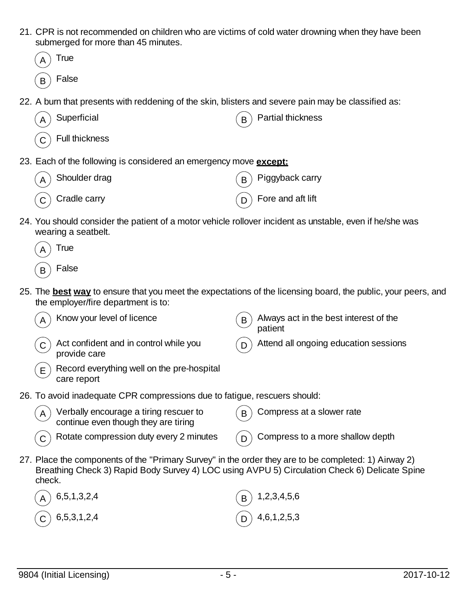21. CPR is not recommended on children who are victims of cold water drowning when they have been submerged for more than 45 minutes.

|             | submerged for more than 45 minutes.                                                                                                                                                                   |   |                                                                                                                      |
|-------------|-------------------------------------------------------------------------------------------------------------------------------------------------------------------------------------------------------|---|----------------------------------------------------------------------------------------------------------------------|
|             | True                                                                                                                                                                                                  |   |                                                                                                                      |
| B           | False                                                                                                                                                                                                 |   |                                                                                                                      |
|             | 22. A burn that presents with reddening of the skin, blisters and severe pain may be classified as:                                                                                                   |   |                                                                                                                      |
| Α           | Superficial                                                                                                                                                                                           | B | <b>Partial thickness</b>                                                                                             |
|             | <b>Full thickness</b>                                                                                                                                                                                 |   |                                                                                                                      |
|             | 23. Each of the following is considered an emergency move except:                                                                                                                                     |   |                                                                                                                      |
|             | Shoulder drag                                                                                                                                                                                         | B | Piggyback carry                                                                                                      |
|             | Cradle carry                                                                                                                                                                                          | D | Fore and aft lift                                                                                                    |
|             | 24. You should consider the patient of a motor vehicle rollover incident as unstable, even if he/she was<br>wearing a seatbelt.                                                                       |   |                                                                                                                      |
|             | True                                                                                                                                                                                                  |   |                                                                                                                      |
| B           | False                                                                                                                                                                                                 |   |                                                                                                                      |
|             | the employer/fire department is to:                                                                                                                                                                   |   | 25. The <b>best way</b> to ensure that you meet the expectations of the licensing board, the public, your peers, and |
|             | Know your level of licence                                                                                                                                                                            | B | Always act in the best interest of the<br>patient                                                                    |
| $\mathsf C$ | Act confident and in control while you<br>provide care                                                                                                                                                | D | Attend all ongoing education sessions                                                                                |
| E           | Record everything well on the pre-hospital<br>care report                                                                                                                                             |   |                                                                                                                      |
|             | 26. To avoid inadequate CPR compressions due to fatigue, rescuers should:                                                                                                                             |   |                                                                                                                      |
| A           | Verbally encourage a tiring rescuer to<br>continue even though they are tiring                                                                                                                        |   | Compress at a slower rate                                                                                            |
| C           | Rotate compression duty every 2 minutes                                                                                                                                                               | D | Compress to a more shallow depth                                                                                     |
| check.      | 27. Place the components of the "Primary Survey" in the order they are to be completed: 1) Airway 2)<br>Breathing Check 3) Rapid Body Survey 4) LOC using AVPU 5) Circulation Check 6) Delicate Spine |   |                                                                                                                      |
|             | 6,5,1,3,2,4                                                                                                                                                                                           |   | 1,2,3,4,5,6                                                                                                          |
|             | 6, 5, 3, 1, 2, 4                                                                                                                                                                                      |   | 4, 6, 1, 2, 5, 3                                                                                                     |
|             |                                                                                                                                                                                                       |   |                                                                                                                      |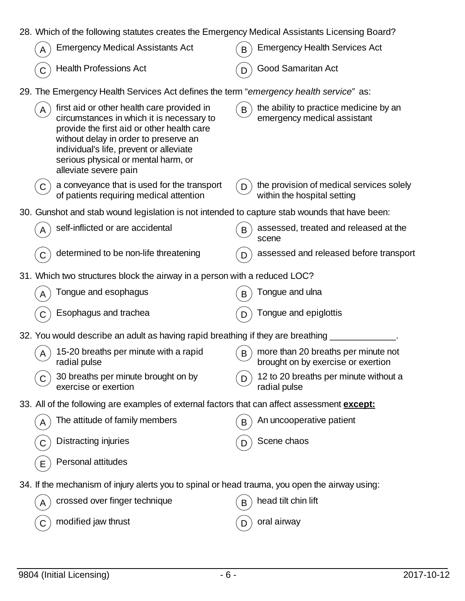| 28. Which of the following statutes creates the Emergency Medical Assistants Licensing Board?                                                                                                                                                                                             |                                                                                       |
|-------------------------------------------------------------------------------------------------------------------------------------------------------------------------------------------------------------------------------------------------------------------------------------------|---------------------------------------------------------------------------------------|
| <b>Emergency Medical Assistants Act</b>                                                                                                                                                                                                                                                   | <b>Emergency Health Services Act</b><br>B                                             |
| <b>Health Professions Act</b>                                                                                                                                                                                                                                                             | <b>Good Samaritan Act</b>                                                             |
| 29. The Emergency Health Services Act defines the term "emergency health service" as:                                                                                                                                                                                                     |                                                                                       |
| first aid or other health care provided in<br>circumstances in which it is necessary to<br>provide the first aid or other health care<br>without delay in order to preserve an<br>individual's life, prevent or alleviate<br>serious physical or mental harm, or<br>alleviate severe pain | the ability to practice medicine by an<br>$\mathsf{B}$<br>emergency medical assistant |
| a conveyance that is used for the transport<br>of patients requiring medical attention                                                                                                                                                                                                    | the provision of medical services solely<br>D<br>within the hospital setting          |
| 30. Gunshot and stab wound legislation is not intended to capture stab wounds that have been:                                                                                                                                                                                             |                                                                                       |
| self-inflicted or are accidental                                                                                                                                                                                                                                                          | assessed, treated and released at the<br>B<br>scene                                   |
| determined to be non-life threatening                                                                                                                                                                                                                                                     | assessed and released before transport                                                |
| 31. Which two structures block the airway in a person with a reduced LOC?                                                                                                                                                                                                                 |                                                                                       |
| Tongue and esophagus                                                                                                                                                                                                                                                                      | Tongue and ulna<br>B                                                                  |
| Esophagus and trachea                                                                                                                                                                                                                                                                     | Tongue and epiglottis                                                                 |
| 32. You would describe an adult as having rapid breathing if they are breathing                                                                                                                                                                                                           |                                                                                       |
| 15-20 breaths per minute with a rapid<br>radial pulse                                                                                                                                                                                                                                     | more than 20 breaths per minute not<br>B<br>brought on by exercise or exertion        |
| 30 breaths per minute brought on by<br>exercise or exertion                                                                                                                                                                                                                               | 12 to 20 breaths per minute without a<br>D<br>radial pulse                            |
| 33. All of the following are examples of external factors that can affect assessment <b>except:</b>                                                                                                                                                                                       |                                                                                       |
| The attitude of family members                                                                                                                                                                                                                                                            | An uncooperative patient<br>B                                                         |
| Distracting injuries                                                                                                                                                                                                                                                                      | Scene chaos<br>D                                                                      |
| Personal attitudes<br>E                                                                                                                                                                                                                                                                   |                                                                                       |
| 34. If the mechanism of injury alerts you to spinal or head trauma, you open the airway using:                                                                                                                                                                                            |                                                                                       |
| crossed over finger technique<br>A                                                                                                                                                                                                                                                        | head tilt chin lift<br>B                                                              |
| modified jaw thrust<br>C                                                                                                                                                                                                                                                                  | oral airway<br>D                                                                      |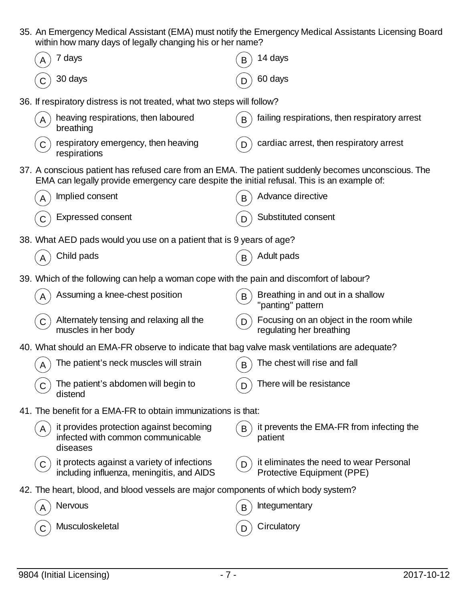35. An Emergency Medical Assistant (EMA) must notify the Emergency Medical Assistants Licensing Board within how many days of legally changing his or her name?

|              | 7 days                                                                                   | B  | 14 days                                                                                                                                                                                                                                                                                                                                                                                                                                                                                                                                                                                                                                                                                                                                                          |
|--------------|------------------------------------------------------------------------------------------|----|------------------------------------------------------------------------------------------------------------------------------------------------------------------------------------------------------------------------------------------------------------------------------------------------------------------------------------------------------------------------------------------------------------------------------------------------------------------------------------------------------------------------------------------------------------------------------------------------------------------------------------------------------------------------------------------------------------------------------------------------------------------|
|              | 30 days                                                                                  |    | 60 days                                                                                                                                                                                                                                                                                                                                                                                                                                                                                                                                                                                                                                                                                                                                                          |
|              |                                                                                          |    |                                                                                                                                                                                                                                                                                                                                                                                                                                                                                                                                                                                                                                                                                                                                                                  |
| A            | heaving respirations, then laboured<br>breathing                                         | B  | failing respirations, then respiratory arrest                                                                                                                                                                                                                                                                                                                                                                                                                                                                                                                                                                                                                                                                                                                    |
| C            | respiratory emergency, then heaving<br>respirations                                      | D  | cardiac arrest, then respiratory arrest                                                                                                                                                                                                                                                                                                                                                                                                                                                                                                                                                                                                                                                                                                                          |
|              |                                                                                          |    |                                                                                                                                                                                                                                                                                                                                                                                                                                                                                                                                                                                                                                                                                                                                                                  |
| A            | Implied consent                                                                          | B  | Advance directive                                                                                                                                                                                                                                                                                                                                                                                                                                                                                                                                                                                                                                                                                                                                                |
|              | <b>Expressed consent</b>                                                                 |    | Substituted consent                                                                                                                                                                                                                                                                                                                                                                                                                                                                                                                                                                                                                                                                                                                                              |
|              |                                                                                          |    |                                                                                                                                                                                                                                                                                                                                                                                                                                                                                                                                                                                                                                                                                                                                                                  |
|              | Child pads                                                                               |    | Adult pads                                                                                                                                                                                                                                                                                                                                                                                                                                                                                                                                                                                                                                                                                                                                                       |
|              |                                                                                          |    |                                                                                                                                                                                                                                                                                                                                                                                                                                                                                                                                                                                                                                                                                                                                                                  |
|              | Assuming a knee-chest position                                                           | B  | Breathing in and out in a shallow<br>"panting" pattern                                                                                                                                                                                                                                                                                                                                                                                                                                                                                                                                                                                                                                                                                                           |
| $\mathsf C$  | Alternately tensing and relaxing all the<br>muscles in her body                          | I) | Focusing on an object in the room while<br>regulating her breathing                                                                                                                                                                                                                                                                                                                                                                                                                                                                                                                                                                                                                                                                                              |
|              |                                                                                          |    |                                                                                                                                                                                                                                                                                                                                                                                                                                                                                                                                                                                                                                                                                                                                                                  |
| A            | The patient's neck muscles will strain                                                   | B  | The chest will rise and fall                                                                                                                                                                                                                                                                                                                                                                                                                                                                                                                                                                                                                                                                                                                                     |
| Ü            | The patient's abdomen will begin to<br>distend                                           | D  | There will be resistance                                                                                                                                                                                                                                                                                                                                                                                                                                                                                                                                                                                                                                                                                                                                         |
|              |                                                                                          |    |                                                                                                                                                                                                                                                                                                                                                                                                                                                                                                                                                                                                                                                                                                                                                                  |
| A            | it provides protection against becoming<br>infected with common communicable<br>diseases | B  | it prevents the EMA-FR from infecting the<br>patient                                                                                                                                                                                                                                                                                                                                                                                                                                                                                                                                                                                                                                                                                                             |
| $\mathsf{C}$ | it protects against a variety of infections<br>including influenza, meningitis, and AIDS | D  | it eliminates the need to wear Personal<br>Protective Equipment (PPE)                                                                                                                                                                                                                                                                                                                                                                                                                                                                                                                                                                                                                                                                                            |
|              |                                                                                          |    |                                                                                                                                                                                                                                                                                                                                                                                                                                                                                                                                                                                                                                                                                                                                                                  |
| A            | Nervous                                                                                  | B  | Integumentary                                                                                                                                                                                                                                                                                                                                                                                                                                                                                                                                                                                                                                                                                                                                                    |
|              | Musculoskeletal                                                                          |    | Circulatory                                                                                                                                                                                                                                                                                                                                                                                                                                                                                                                                                                                                                                                                                                                                                      |
|              |                                                                                          |    | am row many days or logally brianging ms or nor namo:<br>36. If respiratory distress is not treated, what two steps will follow?<br>37. A conscious patient has refused care from an EMA. The patient suddenly becomes unconscious. The<br>EMA can legally provide emergency care despite the initial refusal. This is an example of:<br>38. What AED pads would you use on a patient that is 9 years of age?<br>39. Which of the following can help a woman cope with the pain and discomfort of labour?<br>40. What should an EMA-FR observe to indicate that bag valve mask ventilations are adequate?<br>41. The benefit for a EMA-FR to obtain immunizations is that:<br>42. The heart, blood, and blood vessels are major components of which body system? |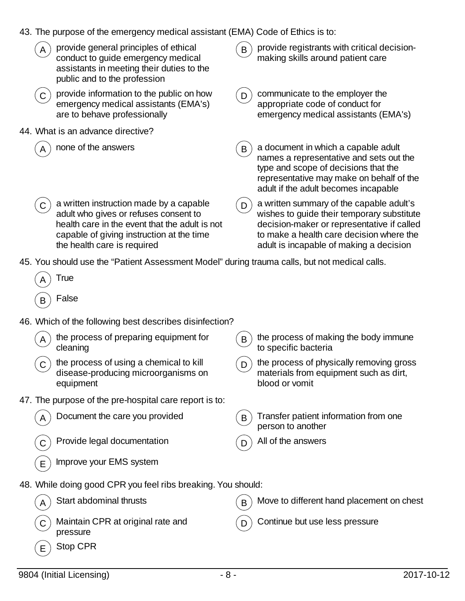- 43. The purpose of the emergency medical assistant (EMA) Code of Ethics is to:
- provide general principles of ethical conduct to guide emergency medical assistants in meeting their duties to the public and to the profession  $\mathbf{B}$ ) provide registrants with critical decisionmaking skills around patient care  $\mathcal{L}_{\mathbf{C}}$  provide information to the public on how emergency medical assistants (EMA's) are to behave professionally  $D$ ) communicate to the employer the appropriate code of conduct for emergency medical assistants (EMA's) 44. What is an advance directive? none of the answers  $(B)$  a document in which a capable adult names a representative and sets out the type and scope of decisions that the representative may make on behalf of the adult if the adult becomes incapable  $\left( \mathbf{C}\right)$  a written instruction made by a capable adult who gives or refuses consent to health care in the event that the adult is not capable of giving instruction at the time the health care is required  $(D)$  a written summary of the capable adult's wishes to guide their temporary substitute decision-maker or representative if called to make a health care decision where the adult is incapable of making a decision 45. You should use the "Patient Assessment Model" during trauma calls, but not medical calls.
- **False** 46. Which of the following best describes disinfection? the process of preparing equipment for cleaning  $B$ ) the process of making the body immune to specific bacteria  $\sigma$ ) the process of using a chemical to kill disease-producing microorganisms on equipment  $\mathbf{D}$ ) the process of physically removing gross materials from equipment such as dirt, blood or vomit 47. The purpose of the pre-hospital care report is to: Document the care you provided  $(B)$  Transfer patient information from one person to another Provide legal documentation  $(D)$  All of the answers Improve your EMS system 48. While doing good CPR you feel ribs breaking. You should: Start abdominal thrusts  $(B)$  Move to different hand placement on chest Maintain CPR at original rate and pressure  $D$  Continue but use less pressure Stop CPR

**True**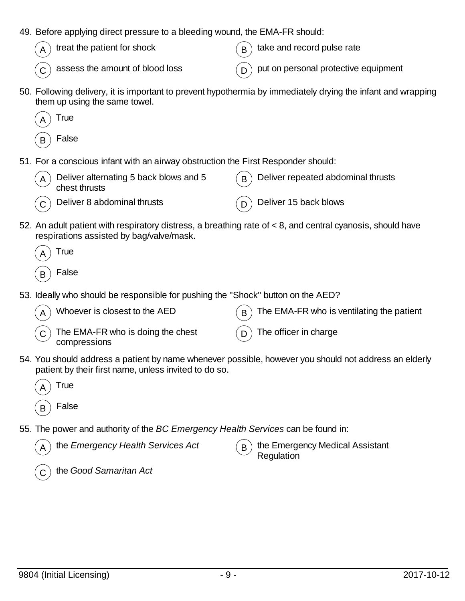| 49. Before applying direct pressure to a bleeding wound, the EMA-FR should:                                                                                    |                                                                                                              |
|----------------------------------------------------------------------------------------------------------------------------------------------------------------|--------------------------------------------------------------------------------------------------------------|
| treat the patient for shock                                                                                                                                    | take and record pulse rate<br>B                                                                              |
| assess the amount of blood loss                                                                                                                                | put on personal protective equipment<br>D                                                                    |
| them up using the same towel.                                                                                                                                  | 50. Following delivery, it is important to prevent hypothermia by immediately drying the infant and wrapping |
| True                                                                                                                                                           |                                                                                                              |
| False<br>B                                                                                                                                                     |                                                                                                              |
| 51. For a conscious infant with an airway obstruction the First Responder should:                                                                              |                                                                                                              |
| Deliver alternating 5 back blows and 5<br>chest thrusts                                                                                                        | Deliver repeated abdominal thrusts<br>B                                                                      |
| Deliver 8 abdominal thrusts                                                                                                                                    | Deliver 15 back blows<br>D                                                                                   |
| 52. An adult patient with respiratory distress, a breathing rate of < 8, and central cyanosis, should have<br>respirations assisted by bag/valve/mask.         |                                                                                                              |
| True                                                                                                                                                           |                                                                                                              |
| False<br>B                                                                                                                                                     |                                                                                                              |
| 53. Ideally who should be responsible for pushing the "Shock" button on the AED?                                                                               |                                                                                                              |
| Whoever is closest to the AED                                                                                                                                  | The EMA-FR who is ventilating the patient<br>B                                                               |
| The EMA-FR who is doing the chest<br>compressions                                                                                                              | The officer in charge<br>D                                                                                   |
| 54. You should address a patient by name whenever possible, however you should not address an elderly<br>patient by their first name, unless invited to do so. |                                                                                                              |
| True                                                                                                                                                           |                                                                                                              |
| False<br>B                                                                                                                                                     |                                                                                                              |
| 55. The power and authority of the BC Emergency Health Services can be found in:                                                                               |                                                                                                              |
| the Emergency Health Services Act                                                                                                                              | the Emergency Medical Assistant<br>B<br>Regulation                                                           |
| the Good Samaritan Act                                                                                                                                         |                                                                                                              |
|                                                                                                                                                                |                                                                                                              |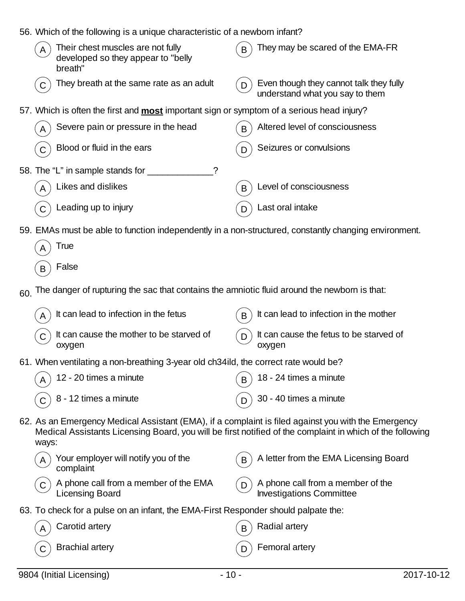| 56. Which of the following is a unique characteristic of a newborn infant?                                                  |                                                                                                           |
|-----------------------------------------------------------------------------------------------------------------------------|-----------------------------------------------------------------------------------------------------------|
| Their chest muscles are not fully<br>developed so they appear to "belly<br>breath"                                          | They may be scared of the EMA-FR                                                                          |
| They breath at the same rate as an adult                                                                                    | Even though they cannot talk they fully<br>D<br>understand what you say to them                           |
| 57. Which is often the first and <b>most</b> important sign or symptom of a serious head injury?                            |                                                                                                           |
| Severe pain or pressure in the head                                                                                         | Altered level of consciousness<br>B                                                                       |
| Blood or fluid in the ears                                                                                                  | Seizures or convulsions<br>D                                                                              |
| 58. The "L" in sample stands for ____<br>?                                                                                  |                                                                                                           |
| Likes and dislikes                                                                                                          | Level of consciousness<br>B                                                                               |
| Leading up to injury                                                                                                        | Last oral intake<br>D                                                                                     |
| 59. EMAs must be able to function independently in a non-structured, constantly changing environment.<br>True<br>False<br>B |                                                                                                           |
| The danger of rupturing the sac that contains the amniotic fluid around the newborn is that:<br>60.                         |                                                                                                           |
| It can lead to infection in the fetus<br>A                                                                                  | It can lead to infection in the mother<br>B                                                               |
| It can cause the mother to be starved of<br>oxygen                                                                          | It can cause the fetus to be starved of<br>D<br>oxygen                                                    |
| 61. When ventilating a non-breathing 3-year old ch34ild, the correct rate would be?                                         |                                                                                                           |
| 12 - 20 times a minute                                                                                                      | 18 - 24 times a minute<br>B                                                                               |
| 8 - 12 times a minute                                                                                                       | 30 - 40 times a minute<br>D                                                                               |
| 62. As an Emergency Medical Assistant (EMA), if a complaint is filed against you with the Emergency<br>ways:                | Medical Assistants Licensing Board, you will be first notified of the complaint in which of the following |
| Your employer will notify you of the<br>complaint                                                                           | A letter from the EMA Licensing Board<br>B                                                                |
| A phone call from a member of the EMA<br><b>Licensing Board</b>                                                             | A phone call from a member of the<br>D<br><b>Investigations Committee</b>                                 |
| 63. To check for a pulse on an infant, the EMA-First Responder should palpate the:                                          |                                                                                                           |
| Carotid artery                                                                                                              | <b>Radial artery</b><br>В                                                                                 |
| <b>Brachial artery</b>                                                                                                      | Femoral artery<br>D                                                                                       |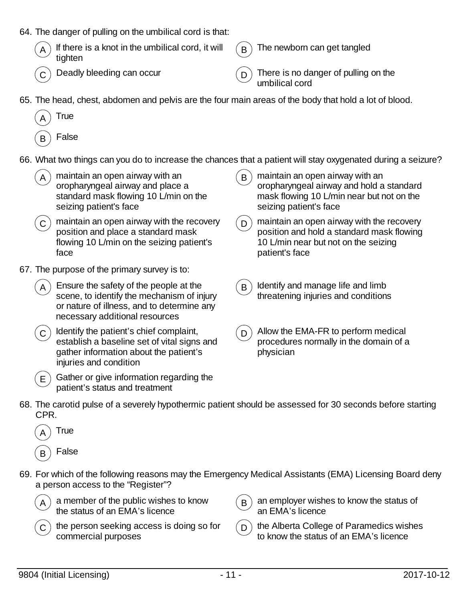|  | 64. The danger of pulling on the umbilical cord is that: |  |  |  |  |  |
|--|----------------------------------------------------------|--|--|--|--|--|
|--|----------------------------------------------------------|--|--|--|--|--|

| $\overline{A}$ If there is a knot in the umbilical cord, it will $\overline{B}$ The newborn tighten |  |
|-----------------------------------------------------------------------------------------------------|--|
|                                                                                                     |  |

can get tangled

 $(C)$  Deadly bleeding can occur  $(D)$  There is no danger of pulling on the umbilical cord

65. The head, chest, abdomen and pelvis are the four main areas of the body that hold a lot of blood.



- **False**
- 66. What two things can you do to increase the chances that a patient will stay oxygenated during a seizure?
- maintain an open airway with an oropharyngeal airway and place a standard mask flowing 10 L/min on the seizing patient's face  $B$ ) maintain an open airway with an oropharyngeal airway and hold a standard mask flowing 10 L/min near but not on the seizing patient's face  $\sigma$ ) maintain an open airway with the recovery position and place a standard mask flowing 10 L/min on the seizing patient's face  $D$  maintain an open airway with the recovery position and hold a standard mask flowing 10 L/min near but not on the seizing patient's face 67. The purpose of the primary survey is to: Ensure the safety of the people at the scene, to identify the mechanism of injury or nature of illness, and to determine any necessary additional resources  $B$ ) Identify and manage life and limb threatening injuries and conditions
	- $C$ ) Identify the patient's chief complaint, establish a baseline set of vital signs and gather information about the patient's injuries and condition



 $(E)$  Gather or give information regarding the patient's status and treatment

- $D$  Allow the EMA-FR to perform medical procedures normally in the domain of a physician
- 68. The carotid pulse of a severely hypothermic patient should be assessed for 30 seconds before starting CPR.



69. For which of the following reasons may the Emergency Medical Assistants (EMA) Licensing Board deny a person access to the "Register"?



a member of the public wishes to know the status of an EMA's licence



- $B$ ) an employer wishes to know the status of an EMA's licence
- $(D)$  the Alberta College of Paramedics wishes to know the status of an EMA's licence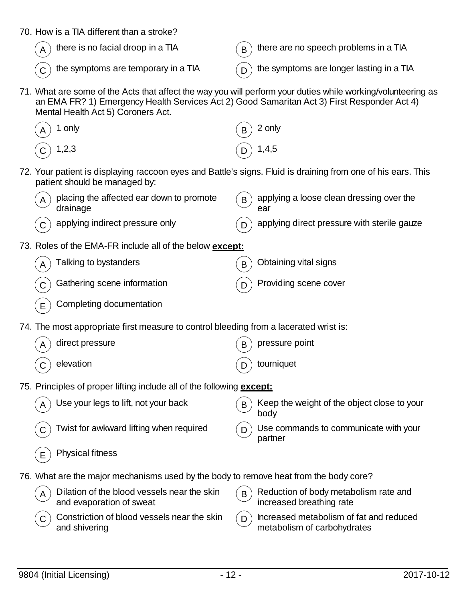| 70. How is a TIA different than a stroke?                                                                                         |                                                                                                              |  |
|-----------------------------------------------------------------------------------------------------------------------------------|--------------------------------------------------------------------------------------------------------------|--|
| there is no facial droop in a TIA                                                                                                 | there are no speech problems in a TIA<br>B                                                                   |  |
| the symptoms are temporary in a TIA                                                                                               | the symptoms are longer lasting in a TIA                                                                     |  |
| an EMA FR? 1) Emergency Health Services Act 2) Good Samaritan Act 3) First Responder Act 4)<br>Mental Health Act 5) Coroners Act. | 71. What are some of the Acts that affect the way you will perform your duties while working/volunteering as |  |
| 1 only                                                                                                                            | 2 only<br>B                                                                                                  |  |
| 1,2,3                                                                                                                             | 1,4,5                                                                                                        |  |
| patient should be managed by:                                                                                                     | 72. Your patient is displaying raccoon eyes and Battle's signs. Fluid is draining from one of his ears. This |  |
| placing the affected ear down to promote<br>A<br>drainage                                                                         | applying a loose clean dressing over the<br>B<br>ear                                                         |  |
| applying indirect pressure only                                                                                                   | applying direct pressure with sterile gauze                                                                  |  |
| 73. Roles of the EMA-FR include all of the below except:                                                                          |                                                                                                              |  |
| Talking to bystanders<br>A                                                                                                        | Obtaining vital signs<br>B                                                                                   |  |
| Gathering scene information                                                                                                       | Providing scene cover<br>D                                                                                   |  |
| Completing documentation<br>E                                                                                                     |                                                                                                              |  |
| 74. The most appropriate first measure to control bleeding from a lacerated wrist is:                                             |                                                                                                              |  |
| direct pressure                                                                                                                   | pressure point<br>B                                                                                          |  |
| elevation<br>C                                                                                                                    | tourniquet<br>D                                                                                              |  |
| 75. Principles of proper lifting include all of the following <b>except:</b>                                                      |                                                                                                              |  |
| Use your legs to lift, not your back                                                                                              | Keep the weight of the object close to your<br>B<br>body                                                     |  |
| Twist for awkward lifting when required                                                                                           | Use commands to communicate with your<br>D<br>partner                                                        |  |
| <b>Physical fitness</b><br>Е                                                                                                      |                                                                                                              |  |
| 76. What are the major mechanisms used by the body to remove heat from the body core?                                             |                                                                                                              |  |
| Dilation of the blood vessels near the skin<br>A<br>and evaporation of sweat                                                      | Reduction of body metabolism rate and<br>B<br>increased breathing rate                                       |  |
| Constriction of blood vessels near the skin<br>C                                                                                  | Increased metabolism of fat and reduced<br>D                                                                 |  |

and shivering

metabolism of carbohydrates